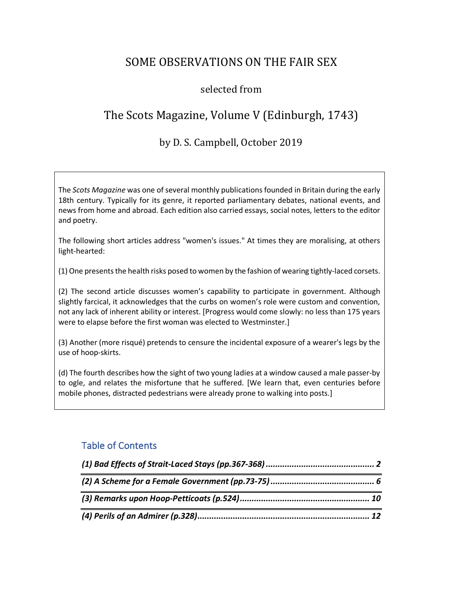# SOME OBSERVATIONS ON THE FAIR SEX

#### selected from

# The Scots Magazine, Volume V (Edinburgh, 1743)

#### by D. S. Campbell, October 2019

The *Scots Magazine* was one of several monthly publications founded in Britain during the early 18th century. Typically for its genre, it reported parliamentary debates, national events, and news from home and abroad. Each edition also carried essays, social notes, letters to the editor and poetry.

The following short articles address "women's issues." At times they are moralising, at others light-hearted:

(1) One presents the health risks posed to women by the fashion of wearing tightly-laced corsets.

(2) The second article discusses women's capability to participate in government. Although slightly farcical, it acknowledges that the curbs on women's role were custom and convention, not any lack of inherent ability or interest. [Progress would come slowly: no less than 175 years were to elapse before the first woman was elected to Westminster.]

(3) Another (more risqué) pretends to censure the incidental exposure of a wearer's legs by the use of hoop-skirts.

(d) The fourth describes how the sight of two young ladies at a window caused a male passer-by to ogle, and relates the misfortune that he suffered. [We learn that, even centuries before mobile phones, distracted pedestrians were already prone to walking into posts.]

#### Table of Contents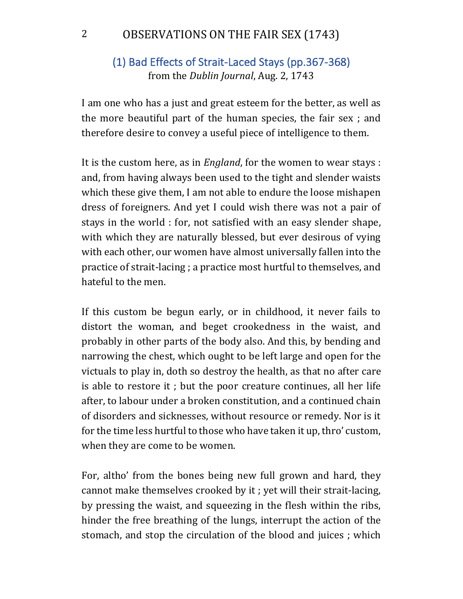## (1) Bad Effects of Strait-Laced Stays (pp.367-368) from the *Dublin Journal*, Aug. 2, 1743

I am one who has a just and great esteem for the better, as well as the more beautiful part of the human species, the fair sex ; and therefore desire to convey a useful piece of intelligence to them.

It is the custom here, as in *England*, for the women to wear stays : and, from having always been used to the tight and slender waists which these give them, I am not able to endure the loose mishapen dress of foreigners. And yet I could wish there was not a pair of stays in the world : for, not satisfied with an easy slender shape, with which they are naturally blessed, but ever desirous of vying with each other, our women have almost universally fallen into the practice of strait-lacing ; a practice most hurtful to themselves, and hateful to the men.

If this custom be begun early, or in childhood, it never fails to distort the woman, and beget crookedness in the waist, and probably in other parts of the body also. And this, by bending and narrowing the chest, which ought to be left large and open for the victuals to play in, doth so destroy the health, as that no after care is able to restore it; but the poor creature continues, all her life after, to labour under a broken constitution, and a continued chain of disorders and sicknesses, without resource or remedy. Nor is it for the time less hurtful to those who have taken it up, thro' custom, when they are come to be women.

For, altho' from the bones being new full grown and hard, they cannot make themselves crooked by it ; yet will their strait-lacing, by pressing the waist, and squeezing in the flesh within the ribs, hinder the free breathing of the lungs, interrupt the action of the stomach, and stop the circulation of the blood and juices; which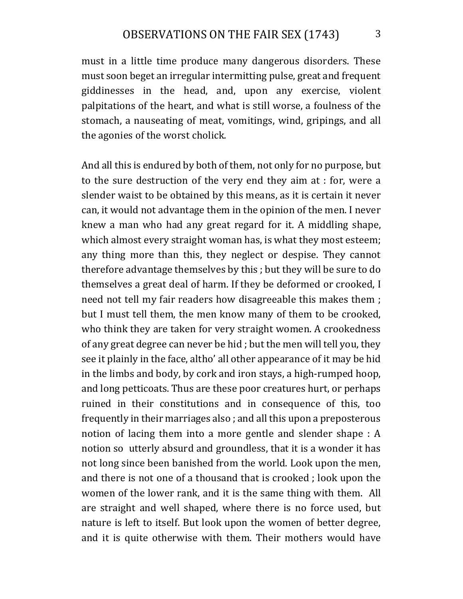must in a little time produce many dangerous disorders. These must soon beget an irregular intermitting pulse, great and frequent giddinesses in the head, and, upon any exercise, violent palpitations of the heart, and what is still worse, a foulness of the stomach, a nauseating of meat, vomitings, wind, gripings, and all the agonies of the worst cholick.

And all this is endured by both of them, not only for no purpose, but to the sure destruction of the very end they aim at : for, were a slender waist to be obtained by this means, as it is certain it never can, it would not advantage them in the opinion of the men. I never knew a man who had any great regard for it. A middling shape, which almost every straight woman has, is what they most esteem; any thing more than this, they neglect or despise. They cannot therefore advantage themselves by this ; but they will be sure to do themselves a great deal of harm. If they be deformed or crooked, I need not tell my fair readers how disagreeable this makes them ; but I must tell them, the men know many of them to be crooked, who think they are taken for very straight women. A crookedness of any great degree can never be hid ; but the men will tell you, they see it plainly in the face, altho' all other appearance of it may be hid in the limbs and body, by cork and iron stays, a high-rumped hoop, and long petticoats. Thus are these poor creatures hurt, or perhaps ruined in their constitutions and in consequence of this, too frequently in their marriages also; and all this upon a preposterous notion of lacing them into a more gentle and slender shape  $: A$ notion so utterly absurd and groundless, that it is a wonder it has not long since been banished from the world. Look upon the men, and there is not one of a thousand that is crooked; look upon the women of the lower rank, and it is the same thing with them. All are straight and well shaped, where there is no force used, but nature is left to itself. But look upon the women of better degree, and it is quite otherwise with them. Their mothers would have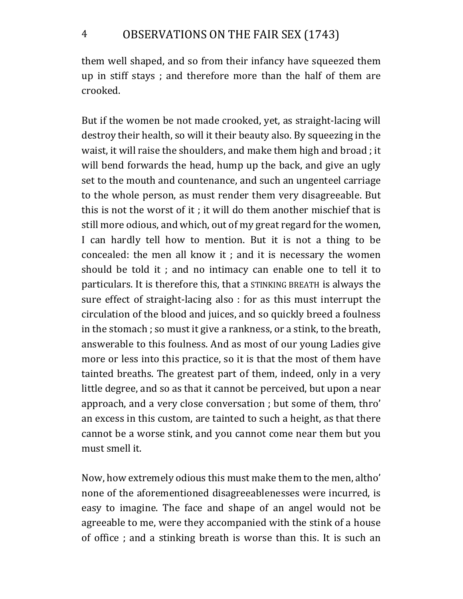them well shaped, and so from their infancy have squeezed them up in stiff stays; and therefore more than the half of them are crooked.

But if the women be not made crooked, yet, as straight-lacing will destroy their health, so will it their beauty also. By squeezing in the waist, it will raise the shoulders, and make them high and broad; it will bend forwards the head, hump up the back, and give an ugly set to the mouth and countenance, and such an ungenteel carriage to the whole person, as must render them very disagreeable. But this is not the worst of it ; it will do them another mischief that is still more odious, and which, out of my great regard for the women, I can hardly tell how to mention. But it is not a thing to be concealed: the men all know it ; and it is necessary the women should be told it; and no intimacy can enable one to tell it to particulars. It is therefore this, that a STINKING BREATH is always the sure effect of straight-lacing also : for as this must interrupt the circulation of the blood and juices, and so quickly breed a foulness in the stomach; so must it give a rankness, or a stink, to the breath, answerable to this foulness. And as most of our young Ladies give more or less into this practice, so it is that the most of them have tainted breaths. The greatest part of them, indeed, only in a very little degree, and so as that it cannot be perceived, but upon a near approach, and a very close conversation ; but some of them, thro' an excess in this custom, are tainted to such a height, as that there cannot be a worse stink, and you cannot come near them but you must smell it.

Now, how extremely odious this must make them to the men, altho' none of the aforementioned disagreeablenesses were incurred, is easy to imagine. The face and shape of an angel would not be agreeable to me, were they accompanied with the stink of a house of office ; and a stinking breath is worse than this. It is such an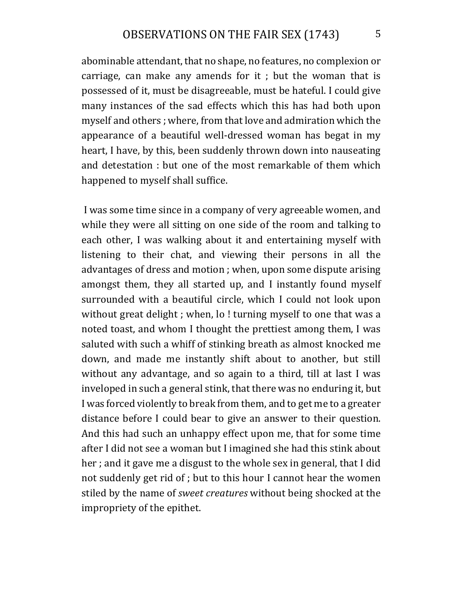abominable attendant, that no shape, no features, no complexion or carriage, can make any amends for it ; but the woman that is possessed of it, must be disagreeable, must be hateful. I could give many instances of the sad effects which this has had both upon myself and others; where, from that love and admiration which the appearance of a beautiful well-dressed woman has begat in my heart, I have, by this, been suddenly thrown down into nauseating and detestation : but one of the most remarkable of them which happened to myself shall suffice.

I was some time since in a company of very agreeable women, and while they were all sitting on one side of the room and talking to each other, I was walking about it and entertaining myself with listening to their chat, and viewing their persons in all the advantages of dress and motion ; when, upon some dispute arising amongst them, they all started up, and I instantly found myself surrounded with a beautiful circle, which I could not look upon without great delight ; when, lo! turning myself to one that was a noted toast, and whom I thought the prettiest among them, I was saluted with such a whiff of stinking breath as almost knocked me down, and made me instantly shift about to another, but still without any advantage, and so again to a third, till at last I was inveloped in such a general stink, that there was no enduring it, but I was forced violently to break from them, and to get me to a greater distance before I could bear to give an answer to their question. And this had such an unhappy effect upon me, that for some time after I did not see a woman but I imagined she had this stink about her ; and it gave me a disgust to the whole sex in general, that I did not suddenly get rid of ; but to this hour I cannot hear the women stiled by the name of *sweet creatures* without being shocked at the impropriety of the epithet.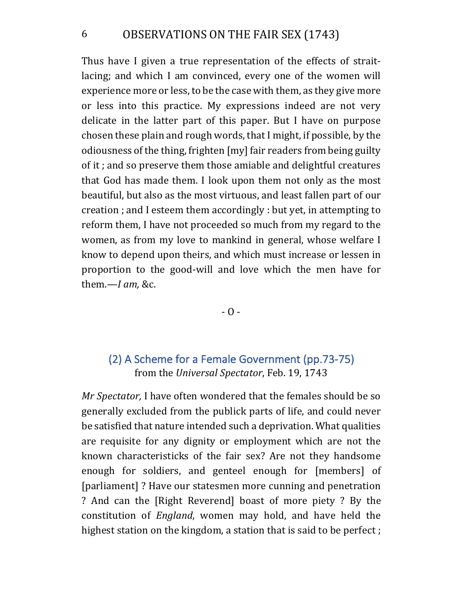#### 6 OBSERVATIONS ON THE FAIR SEX (1743)

Thus have I given a true representation of the effects of straitlacing; and which I am convinced, every one of the women will experience more or less, to be the case with them, as they give more or less into this practice. My expressions indeed are not very delicate in the latter part of this paper. But I have on purpose chosen these plain and rough words, that I might, if possible, by the odiousness of the thing, frighten [my] fair readers from being guilty of it; and so preserve them those amiable and delightful creatures that God has made them. I look upon them not only as the most beautiful, but also as the most virtuous, and least fallen part of our creation ; and I esteem them accordingly : but yet, in attempting to reform them, I have not proceeded so much from my regard to the women, as from my love to mankind in general, whose welfare I know to depend upon theirs, and which must increase or lessen in proportion to the good-will and love which the men have for them.-*I am*, &c.

 $-0 -$ 

## (2) A Scheme for a Female Government (pp.73-75) from the *Universal Spectator*, Feb. 19, 1743

*Mr Spectator*, I have often wondered that the females should be so generally excluded from the publick parts of life, and could never be satisfied that nature intended such a deprivation. What qualities are requisite for any dignity or employment which are not the known characteristicks of the fair sex? Are not they handsome enough for soldiers, and genteel enough for [members] of [parliament]? Have our statesmen more cunning and penetration ? And can the [Right Reverend] boast of more piety ? By the constitution of *England*, women may hold, and have held the highest station on the kingdom, a station that is said to be perfect ;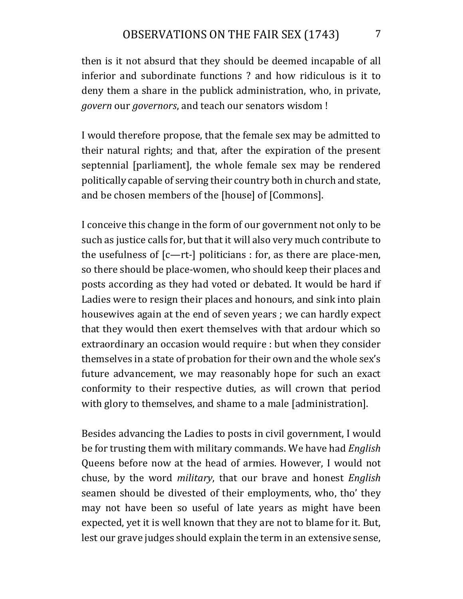then is it not absurd that they should be deemed incapable of all inferior and subordinate functions ? and how ridiculous is it to deny them a share in the publick administration, who, in private, *govern* our *governors*, and teach our senators wisdom!

I would therefore propose, that the female sex may be admitted to their natural rights; and that, after the expiration of the present septennial [parliament], the whole female sex may be rendered politically capable of serving their country both in church and state, and be chosen members of the [house] of [Commons].

I conceive this change in the form of our government not only to be such as justice calls for, but that it will also very much contribute to the usefulness of  $[c-rt-]$  politicians : for, as there are place-men, so there should be place-women, who should keep their places and posts according as they had voted or debated. It would be hard if Ladies were to resign their places and honours, and sink into plain housewives again at the end of seven years ; we can hardly expect that they would then exert themselves with that ardour which so extraordinary an occasion would require : but when they consider themselves in a state of probation for their own and the whole sex's future advancement, we may reasonably hope for such an exact conformity to their respective duties, as will crown that period with glory to themselves, and shame to a male [administration].

Besides advancing the Ladies to posts in civil government, I would be for trusting them with military commands. We have had *English* Queens before now at the head of armies. However, I would not chuse, by the word *military*, that our brave and honest *English* seamen should be divested of their employments, who, tho' they may not have been so useful of late years as might have been expected, yet it is well known that they are not to blame for it. But, lest our grave judges should explain the term in an extensive sense,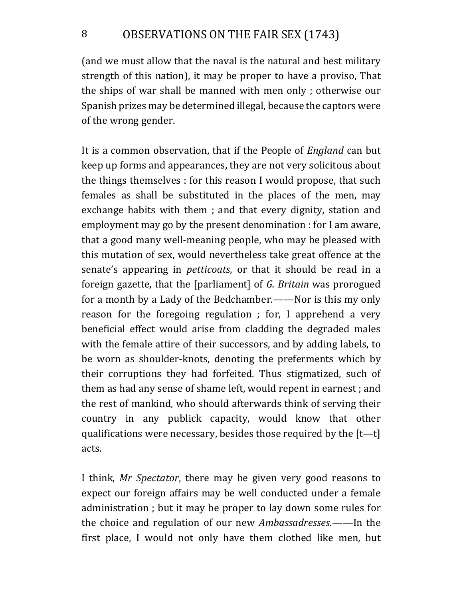(and we must allow that the naval is the natural and best military strength of this nation), it may be proper to have a proviso, That the ships of war shall be manned with men only; otherwise our Spanish prizes may be determined illegal, because the captors were of the wrong gender.

It is a common observation, that if the People of *England* can but keep up forms and appearances, they are not very solicitous about the things themselves : for this reason I would propose, that such females as shall be substituted in the places of the men, may exchange habits with them; and that every dignity, station and employment may go by the present denomination : for I am aware, that a good many well-meaning people, who may be pleased with this mutation of sex, would nevertheless take great offence at the senate's appearing in *petticoats*, or that it should be read in a foreign gazette, that the [parliament] of *G. Britain* was prorogued for a month by a Lady of the Bedchamber.——Nor is this my only reason for the foregoing regulation ; for, I apprehend a very beneficial effect would arise from cladding the degraded males with the female attire of their successors, and by adding labels, to be worn as shoulder-knots, denoting the preferments which by their corruptions they had forfeited. Thus stigmatized, such of them as had any sense of shame left, would repent in earnest; and the rest of mankind, who should afterwards think of serving their country in any publick capacity, would know that other qualifications were necessary, besides those required by the  $[t-t]$ acts.

I think, Mr Spectator, there may be given very good reasons to expect our foreign affairs may be well conducted under a female administration ; but it may be proper to lay down some rules for the choice and regulation of our new *Ambassadresses.*——In the first place, I would not only have them clothed like men, but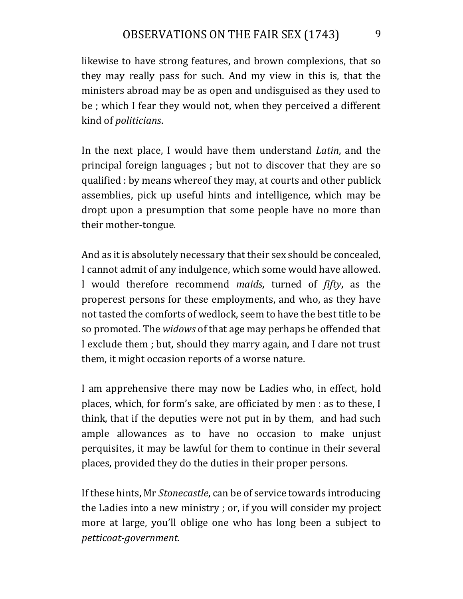likewise to have strong features, and brown complexions, that so they may really pass for such. And my view in this is, that the ministers abroad may be as open and undisguised as they used to be; which I fear they would not, when they perceived a different kind of *politicians*.

In the next place, I would have them understand *Latin*, and the principal foreign languages ; but not to discover that they are so qualified : by means whereof they may, at courts and other publick assemblies, pick up useful hints and intelligence, which may be dropt upon a presumption that some people have no more than their mother-tongue.

And as it is absolutely necessary that their sex should be concealed, I cannot admit of any indulgence, which some would have allowed. I would therefore recommend *maids*, turned of *fifty*, as the properest persons for these employments, and who, as they have not tasted the comforts of wedlock, seem to have the best title to be so promoted. The *widows* of that age may perhaps be offended that I exclude them; but, should they marry again, and I dare not trust them, it might occasion reports of a worse nature.

I am apprehensive there may now be Ladies who, in effect, hold places, which, for form's sake, are officiated by men : as to these, I think, that if the deputies were not put in by them, and had such ample allowances as to have no occasion to make unjust perquisites, it may be lawful for them to continue in their several places, provided they do the duties in their proper persons.

If these hints, Mr *Stonecastle*, can be of service towards introducing the Ladies into a new ministry; or, if you will consider my project more at large, you'll oblige one who has long been a subject to *petticoat-government.*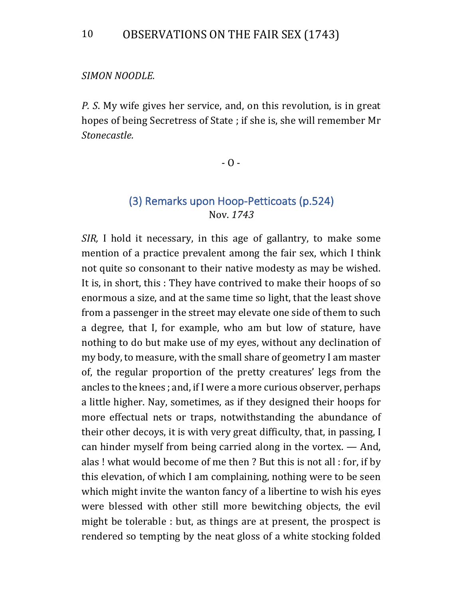#### *SIMON NOODLE.*

*P.* S. My wife gives her service, and, on this revolution, is in great hopes of being Secretress of State ; if she is, she will remember Mr *Stonecastle.*

 $-$  O  $-$ 

#### (3) Remarks upon Hoop-Petticoats (p.524) Nov. *1743*

*SIR*, I hold it necessary, in this age of gallantry, to make some mention of a practice prevalent among the fair sex, which I think not quite so consonant to their native modesty as may be wished. It is, in short, this: They have contrived to make their hoops of so enormous a size, and at the same time so light, that the least shove from a passenger in the street may elevate one side of them to such a degree, that I, for example, who am but low of stature, have nothing to do but make use of my eyes, without any declination of my body, to measure, with the small share of geometry I am master of, the regular proportion of the pretty creatures' legs from the ancles to the knees; and, if I were a more curious observer, perhaps a little higher. Nay, sometimes, as if they designed their hoops for more effectual nets or traps, notwithstanding the abundance of their other decoys, it is with very great difficulty, that, in passing, I can hinder myself from being carried along in the vortex.  $-$  And, alas! what would become of me then? But this is not all : for, if by this elevation, of which I am complaining, nothing were to be seen which might invite the wanton fancy of a libertine to wish his eyes were blessed with other still more bewitching objects, the evil might be tolerable : but, as things are at present, the prospect is rendered so tempting by the neat gloss of a white stocking folded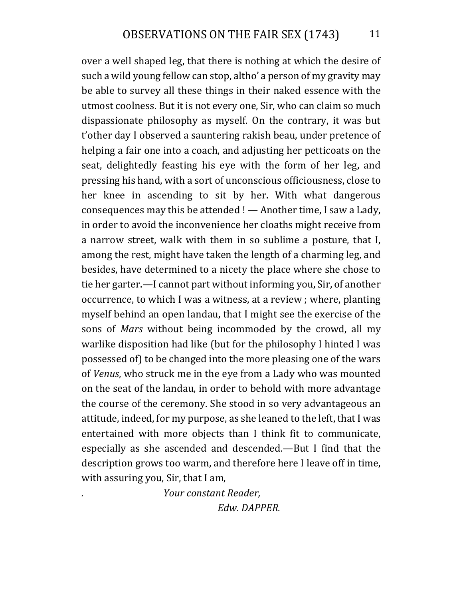over a well shaped leg, that there is nothing at which the desire of such a wild young fellow can stop, altho' a person of my gravity may be able to survey all these things in their naked essence with the utmost coolness. But it is not every one, Sir, who can claim so much dispassionate philosophy as myself. On the contrary, it was but t'other day I observed a sauntering rakish beau, under pretence of helping a fair one into a coach, and adjusting her petticoats on the seat, delightedly feasting his eye with the form of her leg, and pressing his hand, with a sort of unconscious officiousness, close to her knee in ascending to sit by her. With what dangerous consequences may this be attended  $!$  — Another time, I saw a Lady, in order to avoid the inconvenience her cloaths might receive from a narrow street, walk with them in so sublime a posture, that I, among the rest, might have taken the length of a charming leg, and besides, have determined to a nicety the place where she chose to tie her garter.—I cannot part without informing you, Sir, of another occurrence, to which I was a witness, at a review ; where, planting myself behind an open landau, that I might see the exercise of the sons of *Mars* without being incommoded by the crowd, all my warlike disposition had like (but for the philosophy I hinted I was possessed of) to be changed into the more pleasing one of the wars of *Venus*, who struck me in the eye from a Lady who was mounted on the seat of the landau, in order to behold with more advantage the course of the ceremony. She stood in so very advantageous an attitude, indeed, for my purpose, as she leaned to the left, that I was entertained with more objects than I think fit to communicate, especially as she ascended and descended.—But I find that the description grows too warm, and therefore here I leave off in time, with assuring you,  $Sir$ , that I am,

> *. Your constant Reader, Edw. DAPPER.*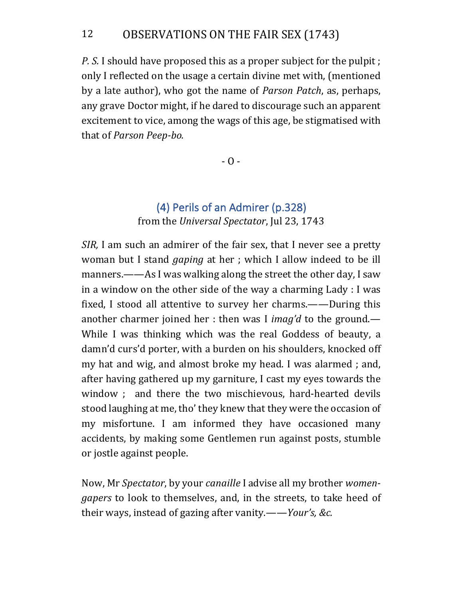### 12 OBSERVATIONS ON THE FAIR SEX (1743)

*P.* S. I should have proposed this as a proper subject for the pulpit ; only I reflected on the usage a certain divine met with, (mentioned by a late author), who got the name of *Parson Patch*, as, perhaps, any grave Doctor might, if he dared to discourage such an apparent excitement to vice, among the wags of this age, be stigmatised with that of *Parson Peep-bo.* 

 $- 0 -$ 

### (4) Perils of an Admirer (p.328) from the *Universal Spectator*, Jul 23, 1743

*SIR*, I am such an admirer of the fair sex, that I never see a pretty woman but I stand *gaping* at her; which I allow indeed to be ill manners.——As I was walking along the street the other day, I saw in a window on the other side of the way a charming Lady : I was fixed, I stood all attentive to survey her charms.——During this another charmer joined her : then was I *imag'd* to the ground.— While I was thinking which was the real Goddess of beauty, a damn'd curs'd porter, with a burden on his shoulders, knocked off my hat and wig, and almost broke my head. I was alarmed; and, after having gathered up my garniture, I cast my eyes towards the window ; and there the two mischievous, hard-hearted devils stood laughing at me, tho' they knew that they were the occasion of my misfortune. I am informed they have occasioned many accidents, by making some Gentlemen run against posts, stumble or jostle against people.

Now, Mr *Spectator*, by your *canaille* I advise all my brother *women*gapers to look to themselves, and, in the streets, to take heed of their ways, instead of gazing after vanity.——*Your's, &c.*